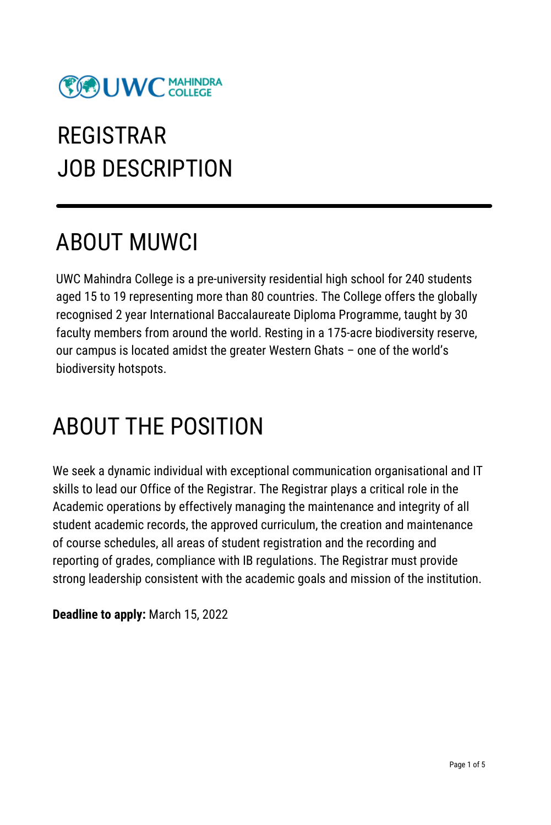

# REGISTRAR JOB DESCRIPTION

### ABOUT MUWCI

UWC Mahindra College is a pre-university residential high school for 240 students aged 15 to 19 representing more than 80 countries. The College offers the globally recognised 2 year International Baccalaureate Diploma Programme, taught by 30 faculty members from around the world. Resting in a 175-acre biodiversity reserve, our campus is located amidst the greater Western Ghats – one of the world's biodiversity hotspots.

### ABOUT THE POSITION

We seek a dynamic individual with exceptional communication organisational and IT skills to lead our Office of the Registrar. The Registrar plays a critical role in the Academic operations by effectively managing the maintenance and integrity of all student academic records, the approved curriculum, the creation and maintenance of course schedules, all areas of student registration and the recording and reporting of grades, compliance with IB regulations. The Registrar must provide strong leadership consistent with the academic goals and mission of the institution.

**Deadline to apply:** March 15, 2022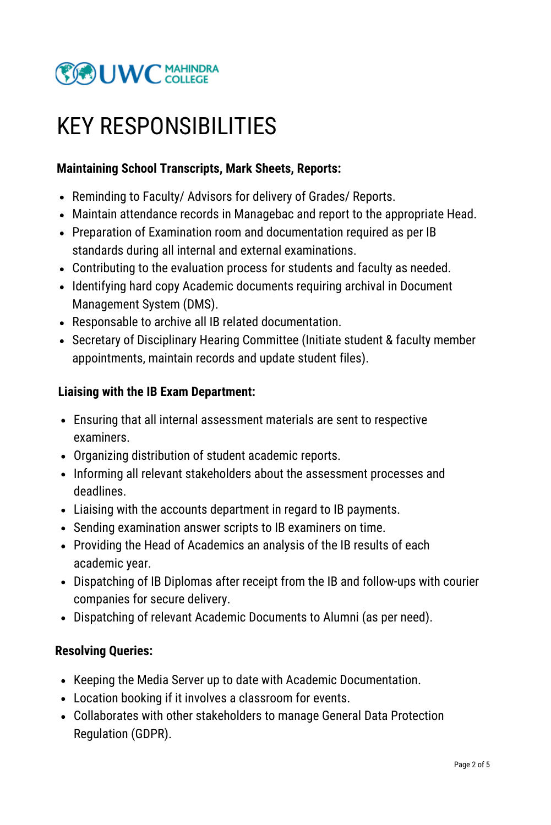

### KEY RESPONSIBILITIES

### **Maintaining School Transcripts, Mark Sheets, Reports:**

- Reminding to Faculty/ Advisors for delivery of Grades/ Reports.
- Maintain attendance records in Managebac and report to the appropriate Head.
- Preparation of Examination room and documentation required as per IB standards during all internal and external examinations.
- Contributing to the evaluation process for students and faculty as needed.
- Identifying hard copy Academic documents requiring archival in Document Management System (DMS).
- Responsable to archive all IB related documentation.
- Secretary of Disciplinary Hearing Committee (Initiate student & faculty member appointments, maintain records and update student files).

#### **Liaising with the IB Exam Department:**

- Ensuring that all internal assessment materials are sent to respective examiners.
- Organizing distribution of student academic reports.
- Informing all relevant stakeholders about the assessment processes and deadlines.
- Liaising with the accounts department in regard to IB payments.
- Sending examination answer scripts to IB examiners on time.
- Providing the Head of Academics an analysis of the IB results of each academic year.
- Dispatching of IB Diplomas after receipt from the IB and follow-ups with courier companies for secure delivery.
- Dispatching of relevant Academic Documents to Alumni (as per need).

#### **Resolving Queries:**

- Keeping the Media Server up to date with Academic Documentation.
- Location booking if it involves a classroom for events.
- Collaborates with other stakeholders to manage General Data Protection Regulation (GDPR).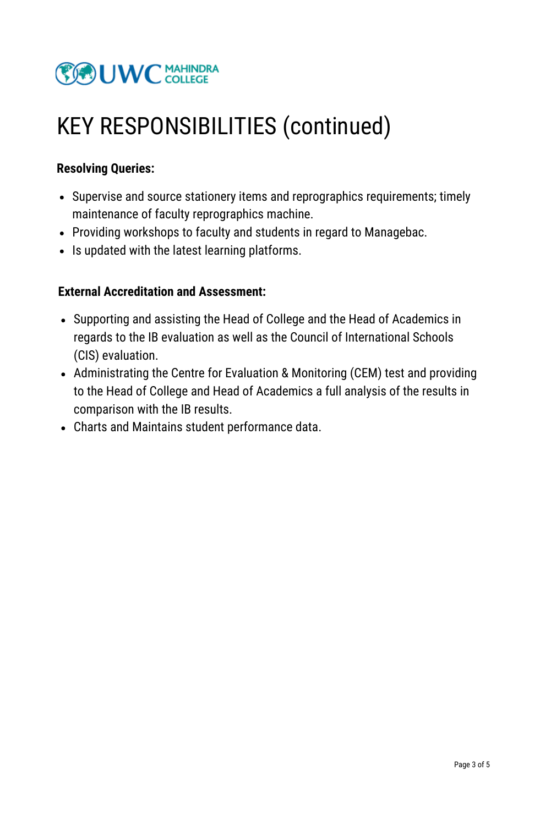

### KEY RESPONSIBILITIES (continued)

#### **Resolving Queries:**

- Supervise and source stationery items and reprographics requirements; timely maintenance of faculty reprographics machine.
- Providing workshops to faculty and students in regard to Managebac.
- Is updated with the latest learning platforms.

#### **External Accreditation and Assessment:**

- Supporting and assisting the Head of College and the Head of Academics in regards to the IB evaluation as well as the Council of International Schools (CIS) evaluation.
- Administrating the Centre for Evaluation & Monitoring (CEM) test and providing to the Head of College and Head of Academics a full analysis of the results in comparison with the IB results.
- Charts and Maintains student performance data.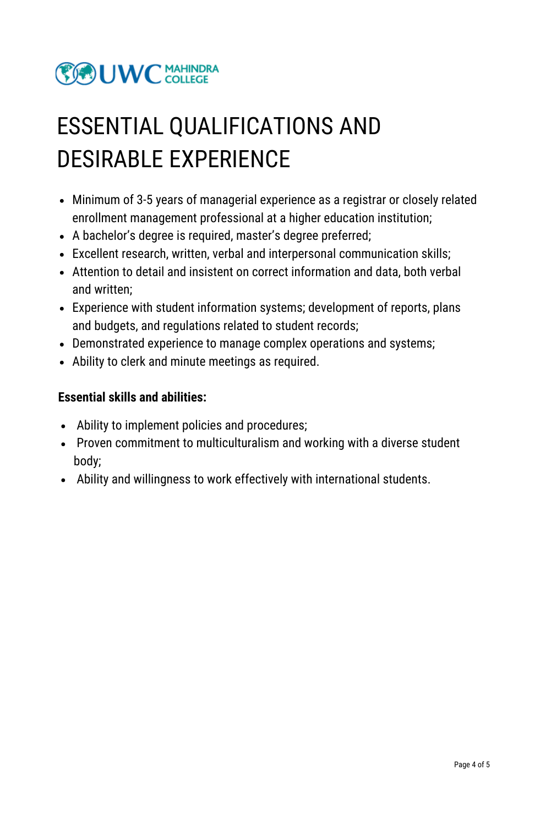

## ESSENTIAL QUALIFICATIONS AND DESIRABLE EXPERIENCE

- Minimum of 3-5 years of managerial experience as a registrar or closely related enrollment management professional at a higher education institution;
- A bachelor's degree is required, master's degree preferred;
- Excellent research, written, verbal and interpersonal communication skills;
- Attention to detail and insistent on correct information and data, both verbal and written;
- Experience with student information systems; development of reports, plans and budgets, and regulations related to student records;
- Demonstrated experience to manage complex operations and systems;
- Ability to clerk and minute meetings as required.

#### **Essential skills and abilities:**

- Ability to implement policies and procedures;
- Proven commitment to multiculturalism and working with a diverse student body;
- Ability and willingness to work effectively with international students.